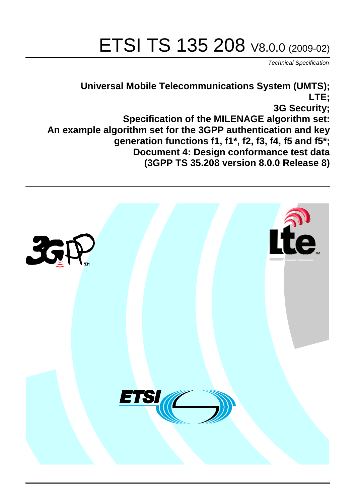# ETSI TS 135 208 V8.0.0 (2009-02)

*Technical Specification*

## **Universal Mobile Telecommunications System (UMTS); LTE; 3G Security; Specification of the MILENAGE algorithm set: An example algorithm set for the 3GPP authentication and key generation functions f1, f1\*, f2, f3, f4, f5 and f5\*; Document 4: Design conformance test data (3GPP TS 35.208 version 8.0.0 Release 8)**

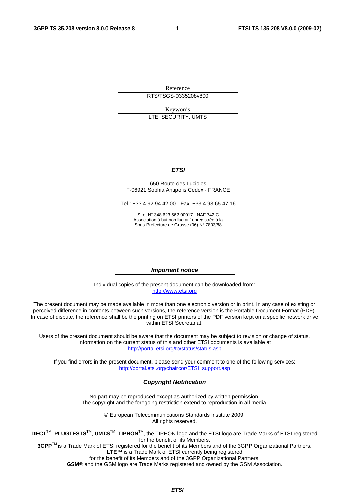Reference RTS/TSGS-0335208v800

Keywords LTE, SECURITY, UMTS

#### *ETSI*

#### 650 Route des Lucioles F-06921 Sophia Antipolis Cedex - FRANCE

Tel.: +33 4 92 94 42 00 Fax: +33 4 93 65 47 16

Siret N° 348 623 562 00017 - NAF 742 C Association à but non lucratif enregistrée à la Sous-Préfecture de Grasse (06) N° 7803/88

#### *Important notice*

Individual copies of the present document can be downloaded from: [http://www.etsi.org](http://www.etsi.org/)

The present document may be made available in more than one electronic version or in print. In any case of existing or perceived difference in contents between such versions, the reference version is the Portable Document Format (PDF). In case of dispute, the reference shall be the printing on ETSI printers of the PDF version kept on a specific network drive within ETSI Secretariat.

Users of the present document should be aware that the document may be subject to revision or change of status. Information on the current status of this and other ETSI documents is available at <http://portal.etsi.org/tb/status/status.asp>

If you find errors in the present document, please send your comment to one of the following services: [http://portal.etsi.org/chaircor/ETSI\\_support.asp](http://portal.etsi.org/chaircor/ETSI_support.asp)

#### *Copyright Notification*

No part may be reproduced except as authorized by written permission. The copyright and the foregoing restriction extend to reproduction in all media.

> © European Telecommunications Standards Institute 2009. All rights reserved.

**DECT**TM, **PLUGTESTS**TM, **UMTS**TM, **TIPHON**TM, the TIPHON logo and the ETSI logo are Trade Marks of ETSI registered for the benefit of its Members.

**3GPP**TM is a Trade Mark of ETSI registered for the benefit of its Members and of the 3GPP Organizational Partners. **LTE**™ is a Trade Mark of ETSI currently being registered

for the benefit of its Members and of the 3GPP Organizational Partners.

**GSM**® and the GSM logo are Trade Marks registered and owned by the GSM Association.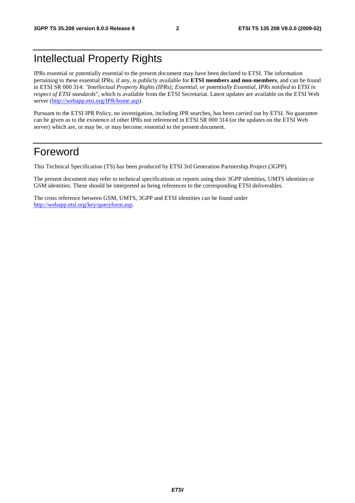## Intellectual Property Rights

IPRs essential or potentially essential to the present document may have been declared to ETSI. The information pertaining to these essential IPRs, if any, is publicly available for **ETSI members and non-members**, and can be found in ETSI SR 000 314: *"Intellectual Property Rights (IPRs); Essential, or potentially Essential, IPRs notified to ETSI in respect of ETSI standards"*, which is available from the ETSI Secretariat. Latest updates are available on the ETSI Web server ([http://webapp.etsi.org/IPR/home.asp\)](http://webapp.etsi.org/IPR/home.asp).

Pursuant to the ETSI IPR Policy, no investigation, including IPR searches, has been carried out by ETSI. No guarantee can be given as to the existence of other IPRs not referenced in ETSI SR 000 314 (or the updates on the ETSI Web server) which are, or may be, or may become, essential to the present document.

## Foreword

This Technical Specification (TS) has been produced by ETSI 3rd Generation Partnership Project (3GPP).

The present document may refer to technical specifications or reports using their 3GPP identities, UMTS identities or GSM identities. These should be interpreted as being references to the corresponding ETSI deliverables.

The cross reference between GSM, UMTS, 3GPP and ETSI identities can be found under [http://webapp.etsi.org/key/queryform.asp.](http://webapp.etsi.org/key/queryform.asp)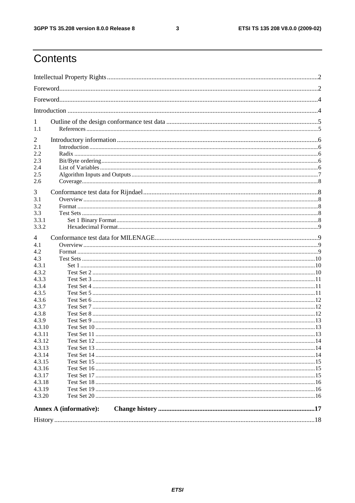$\mathbf{3}$ 

## Contents

|                  | Annex A (informative): |  |  |  |
|------------------|------------------------|--|--|--|
| 4.3.20           |                        |  |  |  |
| 4.3.19           |                        |  |  |  |
| 4.3.18           |                        |  |  |  |
|                  |                        |  |  |  |
| 4.3.16<br>4.3.17 |                        |  |  |  |
| 4.3.15           |                        |  |  |  |
| 4.3.14           |                        |  |  |  |
| 4.3.13           |                        |  |  |  |
| 4.3.12           |                        |  |  |  |
| 4.3.11           |                        |  |  |  |
| 4.3.10           |                        |  |  |  |
| 4.3.9            |                        |  |  |  |
| 4.3.8            |                        |  |  |  |
| 4.3.7            |                        |  |  |  |
| 4.3.6            |                        |  |  |  |
| 4.3.5            |                        |  |  |  |
| 4.3.4            |                        |  |  |  |
| 4.3.3            |                        |  |  |  |
| 4.3.2            |                        |  |  |  |
| 4.3.1            |                        |  |  |  |
| 4.3              |                        |  |  |  |
| 4.2              |                        |  |  |  |
| 4.1              |                        |  |  |  |
| 4                |                        |  |  |  |
|                  |                        |  |  |  |
| 3.3.2            |                        |  |  |  |
| 3.3.1            |                        |  |  |  |
| 3.3              |                        |  |  |  |
| 3.2              |                        |  |  |  |
| 3.1              |                        |  |  |  |
| 3                |                        |  |  |  |
| 2.6              |                        |  |  |  |
| 2.5              |                        |  |  |  |
| 2.4              |                        |  |  |  |
| 2.3              |                        |  |  |  |
| 2.2              |                        |  |  |  |
| 2.1              |                        |  |  |  |
| 2                |                        |  |  |  |
| 1.1              |                        |  |  |  |
| 1                |                        |  |  |  |
|                  |                        |  |  |  |
|                  |                        |  |  |  |
|                  |                        |  |  |  |
|                  |                        |  |  |  |
|                  |                        |  |  |  |
|                  |                        |  |  |  |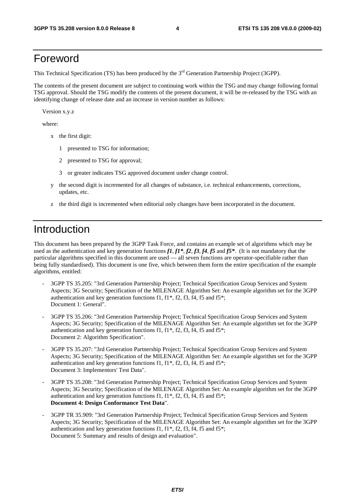## Foreword

This Technical Specification (TS) has been produced by the 3<sup>rd</sup> Generation Partnership Project (3GPP).

The contents of the present document are subject to continuing work within the TSG and may change following formal TSG approval. Should the TSG modify the contents of the present document, it will be re-released by the TSG with an identifying change of release date and an increase in version number as follows:

Version x.y.z

where:

- x the first digit:
	- 1 presented to TSG for information;
	- 2 presented to TSG for approval;
	- 3 or greater indicates TSG approved document under change control.
- y the second digit is incremented for all changes of substance, i.e. technical enhancements, corrections, updates, etc.
- z the third digit is incremented when editorial only changes have been incorporated in the document.

## Introduction

This document has been prepared by the 3GPP Task Force, and contains an example set of algorithms which may be used as the authentication and key generation functions *f1*, *f1\**, *f2*, *f3*, *f4*, *f5* and *f5\**. (It is not mandatory that the particular algorithms specified in this document are used — all seven functions are operator-specifiable rather than being fully standardised). This document is one five, which between them form the entire specification of the example algorithms, entitled:

- 3GPP TS 35.205: "3rd Generation Partnership Project; Technical Specification Group Services and System Aspects; 3G Security; Specification of the MILENAGE Algorithm Set: An example algorithm set for the 3GPP authentication and key generation functions f1, f1\*, f2, f3, f4, f5 and f5\*; Document 1: General".
- 3GPP TS 35.206: "3rd Generation Partnership Project; Technical Specification Group Services and System Aspects; 3G Security; Specification of the MILENAGE Algorithm Set: An example algorithm set for the 3GPP authentication and key generation functions f1,  $f1^*$ ,  $f2$ ,  $f3$ ,  $f4$ ,  $f5$  and  $f5^*$ ; Document 2: Algorithm Specification".
- 3GPP TS 35.207: "3rd Generation Partnership Project; Technical Specification Group Services and System Aspects; 3G Security; Specification of the MILENAGE Algorithm Set: An example algorithm set for the 3GPP authentication and key generation functions f1, f1\*, f2, f3, f4, f5 and f5\*; Document 3: Implementors' Test Data".
- 3GPP TS 35.208: "3rd Generation Partnership Project; Technical Specification Group Services and System Aspects; 3G Security; Specification of the MILENAGE Algorithm Set: An example algorithm set for the 3GPP authentication and key generation functions f1, f1\*, f2, f3, f4, f5 and f5\*; **Document 4: Design Conformance Test Data**".
- 3GPP TR 35.909: "3rd Generation Partnership Project; Technical Specification Group Services and System Aspects; 3G Security; Specification of the MILENAGE Algorithm Set: An example algorithm set for the 3GPP authentication and key generation functions f1,  $f1^*$ ,  $f2$ ,  $f3$ ,  $f4$ ,  $f5$  and  $f5^*$ ; Document 5: Summary and results of design and evaluation".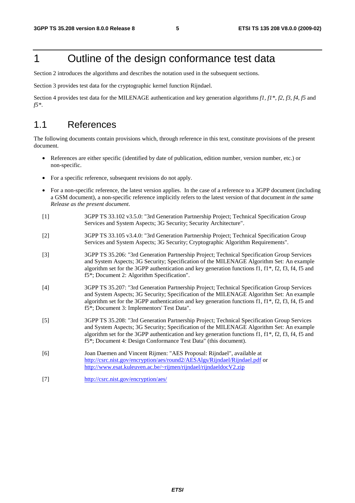## 1 Outline of the design conformance test data

Section 2 introduces the algorithms and describes the notation used in the subsequent sections.

Section 3 provides test data for the cryptographic kernel function Rijndael.

Section 4 provides test data for the MILENAGE authentication and key generation algorithms *f1, f1\*, f2, f3, f4, f5* and *f5\**.

### 1.1 References

The following documents contain provisions which, through reference in this text, constitute provisions of the present document.

- References are either specific (identified by date of publication, edition number, version number, etc.) or non-specific.
- For a specific reference, subsequent revisions do not apply.
- For a non-specific reference, the latest version applies. In the case of a reference to a 3GPP document (including a GSM document), a non-specific reference implicitly refers to the latest version of that document *in the same Release as the present document*.
- [1] 3GPP TS 33.102 v3.5.0: "3rd Generation Partnership Project; Technical Specification Group Services and System Aspects; 3G Security; Security Architecture".
- [2] 3GPP TS 33.105 v3.4.0: "3rd Generation Partnership Project; Technical Specification Group Services and System Aspects; 3G Security; Cryptographic Algorithm Requirements".
- [3] 3GPP TS 35.206: "3rd Generation Partnership Project; Technical Specification Group Services and System Aspects; 3G Security; Specification of the MILENAGE Algorithm Set: An example algorithm set for the 3GPP authentication and key generation functions f1, f1\*, f2, f3, f4, f5 and f5\*; Document 2: Algorithm Specification".
- [4] 3GPP TS 35.207: "3rd Generation Partnership Project; Technical Specification Group Services and System Aspects; 3G Security; Specification of the MILENAGE Algorithm Set: An example algorithm set for the 3GPP authentication and key generation functions f1, f1\*, f2, f3, f4, f5 and f5\*; Document 3: Implementors' Test Data".
- [5] 3GPP TS 35.208: "3rd Generation Partnership Project; Technical Specification Group Services and System Aspects; 3G Security; Specification of the MILENAGE Algorithm Set: An example algorithm set for the 3GPP authentication and key generation functions f1,  $f1^*$ ,  $f2$ ,  $f3$ ,  $f4$ ,  $f5$  and f5\*; Document 4: Design Conformance Test Data" (this document).
- [6] Joan Daemen and Vincent Rijmen: "AES Proposal: Rijndael", available at <http://csrc.nist.gov/encryption/aes/round2/AESAlgs/Rijndael/Rijndael.pdf>or <http://www.esat.kuleuven.ac.be/~rijmen/rijndael/rijndaeldocV2.zip>
- [7] <http://csrc.nist.gov/encryption/aes/>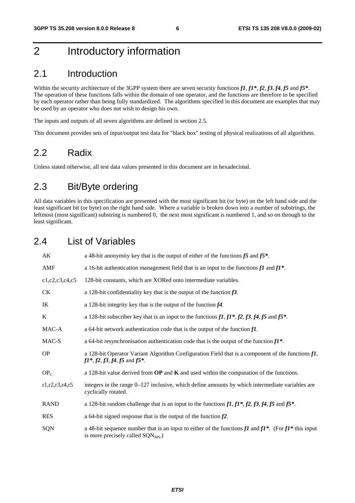## 2 Introductory information

### 2.1 Introduction

Within the security architecture of the 3GPP system there are seven security functions *f1*, *f1\**, *f2*, *f3*, *f4*, *f5* and *f5\**. The operation of these functions falls within the domain of one operator, and the functions are therefore to be specified by each operator rather than being fully standardized. The algorithms specified in this document are examples that may be used by an operator who does not wish to design his own.

The inputs and outputs of all seven algorithms are defined in section 2.5.

This document provides sets of input/output test data for "black box" testing of physical realizations of all algorithms.

## 2.2 Radix

Unless stated otherwise, all test data values presented in this document are in hexadecimal.

## 2.3 Bit/Byte ordering

All data variables in this specification are presented with the most significant bit (or byte) on the left hand side and the least significant bit (or byte) on the right hand side. Where a variable is broken down into a number of substrings, the leftmost (most significant) substring is numbered 0, the next most significant is numbered 1, and so on through to the least significant.

## 2.4 List of Variables

| AK                 | a 48-bit anonymity key that is the output of either of the functions $f5$ and $f5^*$ .                                                                         |
|--------------------|----------------------------------------------------------------------------------------------------------------------------------------------------------------|
| AMF                | a 16-bit authentication management field that is an input to the functions $f1$ and $f1^*$ .                                                                   |
| c1, c2, c3, c4, c5 | 128-bit constants, which are XORed onto intermediate variables.                                                                                                |
| <b>CK</b>          | a 128-bit confidentiality key that is the output of the function $f3$ .                                                                                        |
| IK                 | a 128-bit integrity key that is the output of the function $f4$ .                                                                                              |
| K                  | a 128-bit subscriber key that is an input to the functions $f1, f1^*, f2, f3, f4, f5$ and $f5^*$ .                                                             |
| MAC-A              | a 64-bit network authentication code that is the output of the function $f1$ .                                                                                 |
| MAC-S              | a 64-bit resynchronisation authentication code that is the output of the function $f1^*$ .                                                                     |
| <b>OP</b>          | a 128-bit Operator Variant Algorithm Configuration Field that is a component of the functions $f\mathbf{I}$ ,<br>$f1^*, f2, f3, f4, f5$ and $f5^*$ .           |
| OP <sub>C</sub>    | a 128-bit value derived from $OP$ and $K$ and used within the computation of the functions.                                                                    |
| r1, r2, r3, r4, r5 | integers in the range $0-127$ inclusive, which define amounts by which intermediate variables are<br>cyclically rotated.                                       |
| <b>RAND</b>        | a 128-bit random challenge that is an input to the functions $f1, f1^*, f2, f3, f4, f5$ and $f5^*$ .                                                           |
| <b>RES</b>         | a 64-bit signed response that is the output of the function $f2$ .                                                                                             |
| SQN                | a 48-bit sequence number that is an input to either of the functions $f1$ and $f1^*$ . (For $f1^*$ this input<br>is more precisely called SQN <sub>MS</sub> .) |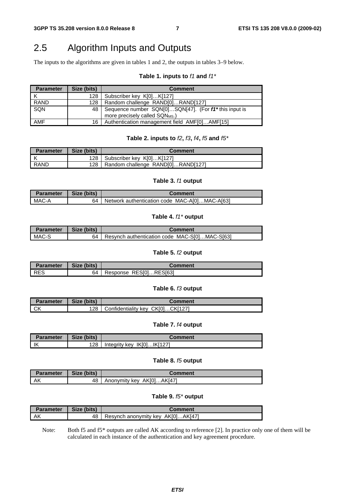## 2.5 Algorithm Inputs and Outputs

The inputs to the algorithms are given in tables 1 and 2, the outputs in tables 3–9 below.

### **Table 1. inputs to** *f1* **and** *f1\**

| <b>Parameter</b> | Size (bits) | <b>Comment</b>                                                                                      |
|------------------|-------------|-----------------------------------------------------------------------------------------------------|
|                  | 128         | Subscriber key K[0]K[127]                                                                           |
| RAND             | 128         | Random challenge RAND[0]RAND[127]                                                                   |
| SQN              | 48          | Sequence number SQN[0]SQN[47]. (For f1* this input is<br>more precisely called SQN <sub>MS</sub> .) |
| AMF              | 16          | Authentication management field AMF[0]AMF[15]                                                       |

#### **Table 2. inputs to** *f2***,** *f3***,** *f4***,** *f5* **and** *f5\**

| <b>Parameter</b> | Size (bits) | Comment                           |  |  |  |
|------------------|-------------|-----------------------------------|--|--|--|
| ΙK               | 128         | Subscriber key K[0]K[127]         |  |  |  |
| I RAND           |             | Random challenge RAND[0]RAND[127] |  |  |  |

#### **Table 3.** *f1* **output**

| <b>Parameter</b> | Size (bits) | Comment                                       |
|------------------|-------------|-----------------------------------------------|
| MAC-A            | 64          | Network authentication code MAC-A[0]MAC-A[63] |

### **Table 4.** *f1\** **output**

| <b>Parameter</b> | Size (bits) | Comment                                       |
|------------------|-------------|-----------------------------------------------|
| MAC-S            | 64          | Resynch authentication code MAC-S[0]MAC-S[63] |

#### **Table 5.** *f2* **output**

| <b>Parameter</b> | Size (bits) | Comment                |
|------------------|-------------|------------------------|
| l RES            | 64          | Response RESI01RESI631 |

### **Table 6.** *f3* **output**

| <b>Parameter</b> | Size (bits) | Comment                          |
|------------------|-------------|----------------------------------|
| $\sim$<br>◡∩     | 128         | Confidentiality key CK[0]CK[127] |

### **Table 7.** *f4* **output**

| <b>Parameter</b> | Size (bits) | Comment                      |
|------------------|-------------|------------------------------|
| ΙK               | 128         | Integrity key $IK[0]IK[127]$ |

### **Table 8.** *f5* **output**

| <b>Parameter</b> | Size (bits) | Comment                   |
|------------------|-------------|---------------------------|
| l AK             | 48          | Anonymity key AK[0]AK[47] |

### **Table 9.** *f5\** **output**

| Parameter | Size (bits) | Comment                           |
|-----------|-------------|-----------------------------------|
| AK        | 48          | Resynch anonymity key AK[0]AK[47] |

Note: Both f5 and f5<sup>\*</sup> outputs are called AK according to reference [2]. In practice only one of them will be calculated in each instance of the authentication and key agreement procedure.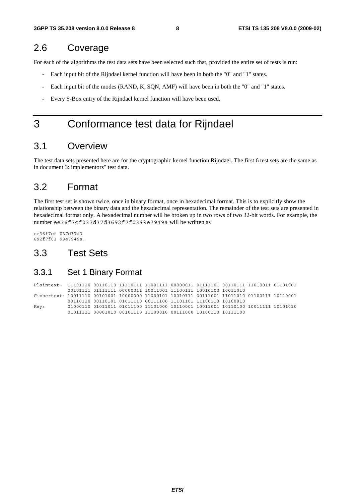## 2.6 Coverage

For each of the algorithms the test data sets have been selected such that, provided the entire set of tests is run:

- Each input bit of the Rijndael kernel function will have been in both the "0" and "1" states.
- Each input bit of the modes (RAND, K, SQN, AMF) will have been in both the "0" and "1" states.
- Every S-Box entry of the Rijndael kernel function will have been used.

## 3 Conformance test data for Rijndael

## 3.1 Overview

The test data sets presented here are for the cryptographic kernel function Rijndael. The first 6 test sets are the same as in document 3: implementors" test data.

## 3.2 Format

The first test set is shown twice, once in binary format, once in hexadecimal format. This is to explicitly show the relationship between the binary data and the hexadecimal representation. The remainder of the test sets are presented in hexadecimal format only. A hexadecimal number will be broken up in two rows of two 32-bit words. For example, the number ee36f7cf037d37d3692f7f0399e7949a will be written as

ee36f7cf 037d37d3 692f7f03 99e7949a.

### 3.3 Test Sets

### 3.3.1 Set 1 Binary Format

|      |  | 00101111 01111111 00000011 10011001 11100111 10010100 10011010 |  |  |  |
|------|--|----------------------------------------------------------------|--|--|--|
|      |  |                                                                |  |  |  |
|      |  |                                                                |  |  |  |
| Key: |  |                                                                |  |  |  |
|      |  | 01011111 00001010 00101110 11100010 00111000 10100110 10111100 |  |  |  |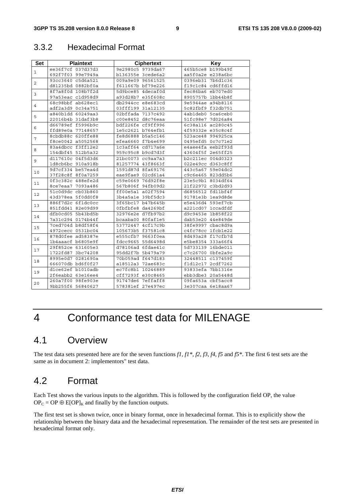### 3.3.2 Hexadecimal Format

| <b>Set</b>     | <b>Plaintext</b>  | <b>Ciphertext</b> | Key               |
|----------------|-------------------|-------------------|-------------------|
|                | ee36f7cf 037d37d3 | 9e2980c5 9739da67 | 465b5ce8 b199b49f |
| 1              | 692f7f03 99e7949a | b136355e 3cede6a2 | aa5f0a2e e238a6bc |
| $\overline{2}$ | 93cc3640 c5d6a521 | 009a9e09 96561525 | 0396eb31 7b6d1c36 |
|                | d81235bd 0882bf0a | f611667b bf79e226 | f19c1c84 cd6ffd16 |
|                | 8f7a8f0d 108b7f2d | 5d9bce85 4decaf0d | fec86ba6 eb707ed0 |
| 3              | 97a53eac c1d958d9 | a93d28b7 e35f608c | 8905757b 1bb44b8f |
|                | 68c98bbf ab628ec1 | db2944cc e8e683cd | 9e5944ae a94b8116 |
| $\overline{4}$ | adf2a3d9 0c34a751 | 03fff199 31a12135 | 5c82fbf9 f32db751 |
| 5              | a840b1dd 60249aa3 | 02bffada 7137c492 | 4ab1deb0 5ca6ceb0 |
|                | 22016b4b 31daf3b8 | c00e8452 d8c76eaa | 51fc98e7 7d026a84 |
| 6              | d66789ef f5996b9c | bdf226fe cf9ff996 | 6c38a116 ac280c45 |
|                | ffd89e0a 77148657 | 1e5c2621 b764efb1 | 4f59332e e35c8c4f |
| $\overline{7}$ | 8cbdb88c 620ffe88 | fe8d6888 b5a5c146 | 523ace48 994925ca |
|                | f8ce0042 a5052568 | efea6660 f7b4e699 | 0495efd5 0c7c71e2 |
| 8              | 83a4dbcc f3ff12e2 | 1c3aff64 cd717a6e | e4aee4fa eeb2f93d |
|                | 154dbf45 512b5a32 | 959c95c8 b9cd7d3f | 43604f5f 2e65ff25 |
| 9              | d117610c 04f5d3d6 | 21bc0073 cc9aa7a3 | b2c211ec 004d0323 |
|                | 1d8cb6bc 910a918b | 81257774 43f8663f | 022e49cc d363c8ff |
| 10             | 9d7cf334 be57ea4d | 1591d87d 8fa69176 | 443c5a67 59e04dc2 |
|                | 37f28c8f 8f0a7259 | eae9fae9 02cd61a4 | c9c6e465 823dd5b6 |
| 11             | 0f3c382c 488efe2d | c59e0669 76d92f8e | 23e5c9b1 8034df64 |
|                | 8ce7eaa7 7093a486 | 567b806f 94fb09d2 | 21f22972 c3bd2d93 |
| 12             | 51c0d9dc cb03b860 | ff00e5a1 a02f7594 | d6856512 fd11bf4f |
|                | 43d378ea 5f0dd0f8 | 3b4a5a1e 39bf5dc3 | 91781e3b 1ea9d8de |
| 13             | 886f7d2c 6f1dc0cc | 3f65bc17 b47b645b | e5e436d4 593ef7cb |
|                | 851fdd41 82e09d99 | 0fbfbfe8 da4269bf | a221cd07 1ccadfdf |
| 14             | dfb0cd05 5b43bd5b | 32976e2e d7fb97b2 | d9c9453e 1b858f22 |
|                | 7a31c294 0174b44f | bcaaba00 80faf1e5 | dab53e20 44e849de |
| 15             | 7ced704d b8df58f4 | 53772447 4cf17c9b | 38fe9997 cbac8d9a |
|                | 4972cecc 0531bc04 | 105673b5 f37581c8 | c4fc78cc 1fcb1e22 |
| 16             | 878d0fee ad58387e | e555cfb7 9663f0ea | 8d493a28 f17cfb7d |
|                | 1b4aaacf b6805e9f | fdcc9665 55d6498d | e5be8354 333a66f4 |
| 17             | 29f852ce 631605e3 | d78106ad 6fdae41c | 5d733139 16bde011 |
|                | 1722fd87 3bc74208 | 95dd2f7b 5b479a79 | c7c26700 0bfe2a9c |
| 18             | 8995e0d7 0281690a | 70b059ad f647d183 | 32448511 c137459f |
|                | 666070db bd6f0f27 | a18512a3 72ae683c | f1d12c17 2cdf7262 |
| 19             | dlce62ef b1010adb | ec7fc8b1 10246889 | 93833efa 7bb1316e |
|                | 2f6eabb2 63e16ee4 | cff7293f e30c8465 | ebb3dbe3 20a5448d |
| 20             | 260a7f00 98fe903e | 91747de6 7effaff8 | 09fa653a cbf5acc8 |
|                | 9bb255f6 56840627 | 578381ef 27e497ec | 3e307caa 6e18aa67 |

## 4 Conformance test data for MILENAGE

## 4.1 Overview

The test data sets presented here are for the seven functions *f1, f1\*, f2, f3, f4, f5* and *f5\**. The first 6 test sets are the same as in document 2: implementors" test data.

## 4.2 Format

Each Test shows the various inputs to the algorithm. This is followed by the configuration field OP, the value  $OP_C = OP \oplus E[OP]_K$  and finally by the function outputs.

The first test set is shown twice, once in binary format, once in hexadecimal format. This is to explicitly show the relationship between the binary data and the hexadecimal representation. The remainder of the test sets are presented in hexadecimal format only.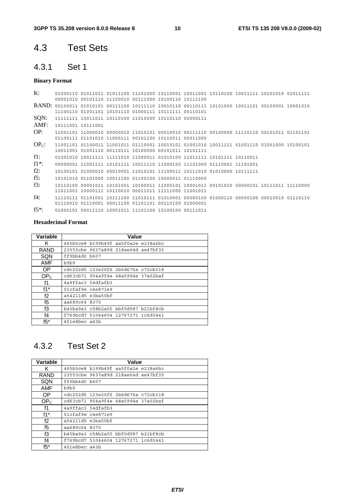## 4.3 Test Sets

## 4.3.1 Set 1

### **Binary Format**

| $\mathbf{K}$ :      |                   |  |                                                       |                                                                         |  |                                                                                           |  |
|---------------------|-------------------|--|-------------------------------------------------------|-------------------------------------------------------------------------|--|-------------------------------------------------------------------------------------------|--|
|                     |                   |  | 00001010 00101110 11100010 00111000 10100110 10111100 |                                                                         |  |                                                                                           |  |
|                     |                   |  |                                                       |                                                                         |  |                                                                                           |  |
|                     |                   |  |                                                       |                                                                         |  |                                                                                           |  |
| SQN:                |                   |  |                                                       |                                                                         |  |                                                                                           |  |
| AMF:                | 10111001 10111001 |  |                                                       |                                                                         |  |                                                                                           |  |
| OP:                 |                   |  |                                                       |                                                                         |  |                                                                                           |  |
|                     |                   |  | 01100111 01101010 11000111 00101100 10110011 00011000 |                                                                         |  |                                                                                           |  |
| $OPc$ :             |                   |  |                                                       |                                                                         |  |                                                                                           |  |
|                     |                   |  | 10011001 01001110 00110111 10100000 00101011 10101111 |                                                                         |  |                                                                                           |  |
| $f1$ :              |                   |  |                                                       | 01001010 10011111 11111010 11000011 01010100 11011111 10101111 10110011 |  |                                                                                           |  |
| $f1^*$ :            |                   |  |                                                       | 00000001 11001111 10101111 10011110 11000100 11101000 01110001 11101001 |  |                                                                                           |  |
| $f2$ :              |                   |  |                                                       |                                                                         |  |                                                                                           |  |
| f5:                 |                   |  | 10101010 01101000 10011100 01100100 10000011 01110000 |                                                                         |  |                                                                                           |  |
| f3:                 |                   |  |                                                       |                                                                         |  | 10110100 00001011 10101001 10100011 11000101 10001011 00101010 00000101 10111011 11110000 |  |
|                     |                   |  | 11011001 10000111 10110010 00011011 11111000 11001011 |                                                                         |  |                                                                                           |  |
| $f4$ :              |                   |  |                                                       |                                                                         |  |                                                                                           |  |
|                     |                   |  | 01110010 01110001 00011100 01101101 00110100 01000001 |                                                                         |  |                                                                                           |  |
| $f5$ <sup>*</sup> : |                   |  |                                                       |                                                                         |  |                                                                                           |  |

### **Hexadecimal Format**

| Variable        | Value                               |
|-----------------|-------------------------------------|
| Κ               | 465b5ce8 b199b49f aa5f0a2e e238a6bc |
| <b>RAND</b>     | 23553cbe 9637a89d 218ae64d ae47bf35 |
| SQN             | ff9bb4d0 b607                       |
| <b>AMF</b>      | b9b9                                |
| OP.             | cdc202d5 123e20f6 2b6d676a c72cb318 |
| OP <sub>C</sub> | cd63cb71 954a9f4e 48a5994e 37a02baf |
| f1              | 4a9ffac3 54dfafb3                   |
| $f1^*$          | 01cfaf9e c4e871e9                   |
| f2              | a54211d5 e3ba50bf                   |
| f5              | aa689c64 8370                       |
| f3              | b40ba9a3 c58b2a05 bbf0d987 b21bf8cb |
| f4              | f769bcd7 51044604 12767271 1c6d3441 |
| $f5^*$          | 451e8bec a43b                       |

## 4.3.2 Test Set 2

| Variable        | Value                               |
|-----------------|-------------------------------------|
| ĸ               | 465b5ce8 b199b49f aa5f0a2e e238a6bc |
| <b>RAND</b>     | 23553cbe 9637a89d 218ae64d ae47bf35 |
| SQN             | ff9bb4d0 b607                       |
| <b>AMF</b>      | b9b9                                |
| OP.             | cdc202d5 123e20f6 2b6d676a c72cb318 |
| OP <sub>c</sub> | cd63cb71 954a9f4e 48a5994e 37a02baf |
| f1              | 4a9ffac3 54dfafb3                   |
| $f1^*$          | 01cfaf9e c4e871e9                   |
| f2              | a54211d5 e3ba50bf                   |
| f5              | aa689c64 8370                       |
| fЗ              | b40ba9a3 c58b2a05 bbf0d987 b21bf8cb |
| f4              | f769bcd7 51044604 12767271 1c6d3441 |
| $f5*$           | 451e8bec a43b                       |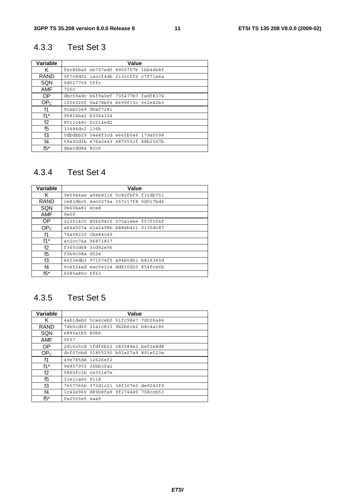## 4.3.3 Test Set 3

| Variable        | Value                               |
|-----------------|-------------------------------------|
| ĸ               | fec86ba6 eb707ed0 8905757b 1bb44b8f |
| <b>RAND</b>     | 9f7c8d02 laccf4db 213ccff0 c7f71a6a |
| SQN             | 9d027759 5ffc                       |
| AMF             | 725c                                |
| OP.             | dbc59adc b6f9a0ef 735477b7 fadf8374 |
| OP <sub>c</sub> | 1006020f 0a478bf6 b699f15c 062e42b3 |
| f1              | 9cabc3e9 9baf7281                   |
| $f1^*$          | 95814ba2 b3044324                   |
| f2              | 8011c48c 0c214ed2                   |
| f5              | 33484dc2 136b                       |
| f3              | 5dbdbb29 54e8f3cd e665b046 179a5098 |
| f4              | 59a92d3b 476a0443 487055cf 88b2307b |
| $f5^*$          | deacdd84 8cc6                       |

## 4.3.4 Test Set 4

| Variable        | Value                               |
|-----------------|-------------------------------------|
| K               | 9e5944ae a94b8116 5c82fbf9 f32db751 |
| RAND            | ce83dbc5 4ac0274a 157c17f8 0d017bd6 |
| SQN             | $0b604a81$ eca8                     |
| <b>AMF</b>      | 9e09                                |
| OP.             | 223014c5 806694c0 07caleee f57f004f |
| OP <sub>c</sub> | a64a507a e1a2a98b b88eb421 0135dc87 |
| f1              | 74a58220 cba84c49                   |
| $f1^*$          | ac2cc74a 96871837                   |
| f2              | f365cd68 3cd92e96                   |
| f5              | f0b9c08a d02e                       |
| f3              | e203edb3 971574f5 a94b0d61 b816345d |
| f <sub>4</sub>  | 0c4524ad eac041c4 dd830d20 854fc46b |
| $f5^*$          | 6085a86c 6f63                       |

## 4.3.5 Test Set 5

| Variable        | Value                               |
|-----------------|-------------------------------------|
| ĸ               | 4ab1deb0 5ca6ceb0 51fc98e7 7d026a84 |
| <b>RAND</b>     | 74b0cd60 31a1c833 9b2b6ce2 b8c4a186 |
| SQN             | e880a1b5 80b6                       |
| AMF             | 9f07                                |
| OP.             | 2d16c5cd 1fdf6b22 383584e3 bef2a8d8 |
| OP <sub>C</sub> | dcf07cbd 51855290 b92a07a9 891e523e |
| f1              | 49e785dd 12626ef2                   |
| $f1^*$          | 9e857903 36bb3fa2                   |
| f2              | 5860fc1b ce351e7e                   |
| f5              | 31e11a60 9118                       |
| f3              | 7657766b 373d1c21 38f307e3 de9242f9 |
| f4              | 1c42e960 d89b8fa9 9f2744e0 708ccb53 |
| $f5*$           | fe2555e5 4aa9                       |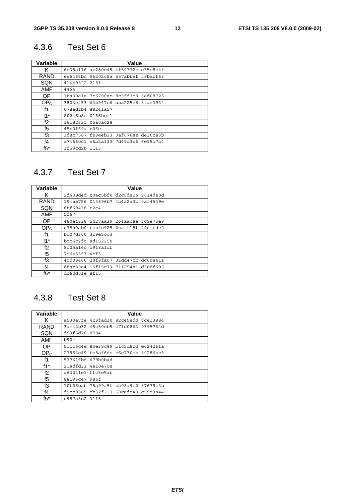## 4.3.6 Test Set 6

| Variable        | Value                               |
|-----------------|-------------------------------------|
| ĸ               | 6c38a116 ac280c45 4f59332e e35c8c4f |
| <b>RAND</b>     | ee6466bc 96202c5a 557abbef f8babf63 |
| SQN             | 414b9822 2181                       |
| AMF             | 4464                                |
| OP.             | 1ba00a1a 7c6700ac 8c3ff3e9 6ad08725 |
| OP <sub>c</sub> | 3803ef53 63b947c6 aaa225e5 8fae3934 |
| f1              | 078adfb4 88241a57                   |
| $f1^*$          | 80246b8d 0186bcf1                   |
| f2              | 16c8233f 05a0ac28                   |
| f5              | 45b0f69a b06c                       |
| fЗ              | 3f8c7587 fe8e4b23 3af676ae de30ba3b |
| f4              | a7466cc1 e6b2a133 7d49d3b6 6e95d7b4 |
| $f5^*$          | 1f53cd2b 1113                       |

## 4.3.7 Test Set 7

| Variable        | Value                               |
|-----------------|-------------------------------------|
| K               | 2d609d4d b0ac5bf0 d2c0de26 7014de0d |
| <b>RAND</b>     | 194aa756 013896b7 4b4a2a3b 0af4539e |
| SQN             | 6bf69438 c2e4                       |
| <b>AMF</b>      | 5f67                                |
| 0P              | 460a4838 5427aa39 264aac8e fc9e73e8 |
| OP <sub>c</sub> | c35a0ab0 bcbfc925 2caff15f 24efbde0 |
| f1              | bd07d300 3b9e5cc3                   |
| $f1^*$          | $bcb6c2fc$ ad $152250$              |
| f2              | 8c25a16c d918a1df                   |
| f5              | 7e6455f3 4cf3                       |
| f3              | 4cd08460 20f8fa07 31dd47cb dc6be411 |
| $f_4$           | 88ab80a4 15f15c73 711254a1 d388f696 |
| $f5^*$          | dc6dd01e 8f15                       |

## 4.3.8 Test Set 8

| Variable        | Value                               |
|-----------------|-------------------------------------|
| ĸ               | a530a7fe 428fad10 82c45edd fce13884 |
| <b>RAND</b>     | 3a4c2b32 45c50eb5 c71d0863 9395764d |
| SQN             | f63f5d76 8784                       |
| AMF             | b90e                                |
| OP.             | 511c6c4e 83e38c89 b1c5d8dd e62426fa |
| OP <sub>C</sub> | 27953e49 bc8af6dc c6e730eb 80286be3 |
| f1              | 53761fbd 679b0bad                   |
| $f1^*$          | 21adfd33 4a10e7ce                   |
| f2              | a63241e1 ffc3e5ab                   |
| f <sub>5</sub>  | 88196c47 986f                       |
| f3              | 10f05bab 75a99a5f bb98a9c2 87679c3b |
| f4              | f9ec0865 eb32f223 69cade40 c59c3a44 |
| $f5*$           | c987a3d2 3115                       |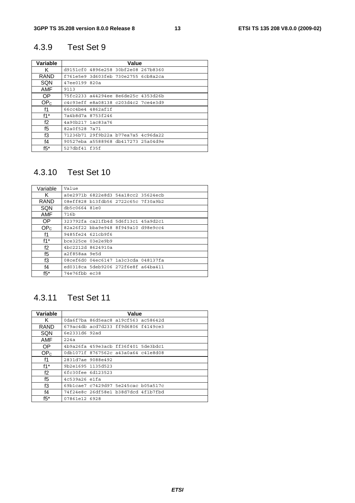## 4.3.9 Test Set 9

| Variable        | Value                               |
|-----------------|-------------------------------------|
| K               | d9151cf0 4896e258 30bf2e08 267b8360 |
| RAND            | f761e5e9 3d603feb 730e2755 6cb8a2ca |
| SQN             | 47ee0199 820a                       |
| AMF             | 9113                                |
| OP.             | 75fc2233 a44294ee 8e6de25c 4353d26b |
| OP <sub>c</sub> | c4c93eff e8a08138 c203d4c2 7ce4e3d9 |
| f1              | 66cc4be4 4862af1f                   |
| $f1^*$          | 7a4b8d7a 8753f246                   |
| f2              | 4a90b217 1ac83a76                   |
| f5              | 82a0f528 7a71                       |
| f3              | 71236b71 29f9b22a b77ea7a5 4c96da22 |
| f4              | 90527eba a5588968 db417273 25a04d9e |
| $f5^*$          | 527dbf41 f35f                       |

## 4.3.10 Test Set 10

| Variable        | Value                               |
|-----------------|-------------------------------------|
| Κ               | a0e2971b 6822e8d3 54a18cc2 35624ecb |
| <b>RAND</b>     | 08eff828 b13fdb56 2722c65c 7f30a9b2 |
| SQN             | db5c0664 81e0                       |
| AMF             | 716b                                |
| OP.             | 323792fa ca21fb4d 5d6f13c1 45a9d2c1 |
| OP <sub>C</sub> | 82a26f22 bba9e948 8f949a10 d98e9cc4 |
| f1              | 9485fe24 621cb9f6                   |
| $f1^*$          | bce325ce 03e2e9b9                   |
| f2              | 4bc2212d 8624910a                   |
| f5              | a2f858aa 9e5d                       |
| fЗ              | 08cef6d0 04ec6147 1a3c3cda 048137fa |
| $f_4$           | ed0318ca 5deb9206 272f6e8f a64ba411 |
| $f5^*$          | 74e76fbb ec38                       |

## 4.3.11 Test Set 11

| Variable        | Value                               |  |  |  |  |
|-----------------|-------------------------------------|--|--|--|--|
| ĸ               | 0da6f7ba 86d5eac8 a19cf563 ac58642d |  |  |  |  |
| RAND            | 679ac4db acd7d233 ff9d6806 f4149ce3 |  |  |  |  |
| SQN             | 6e2331d6 92ad                       |  |  |  |  |
| AMF             | 224a                                |  |  |  |  |
| OP.             | 4b9a26fa 459e3acb ff36f401 5de3bdc1 |  |  |  |  |
| OP <sub>c</sub> | 0db1071f 8767562c a43a0a64 c41e8d08 |  |  |  |  |
| f1              | 2831d7ae 9088e492                   |  |  |  |  |
| $f1^*$          | 9b2e1695 1135d523                   |  |  |  |  |
| f2              | 6fc30fee 6d123523                   |  |  |  |  |
| f5              | 4c539a26 e1fa                       |  |  |  |  |
| f3              | 69b1cae7 c7429d97 5e245cac b05a517c |  |  |  |  |
| f4              | 74f24e8c 26df58e1 b38d7dcd 4f1b7fbd |  |  |  |  |
| $f5*$           | 07861e12 6928                       |  |  |  |  |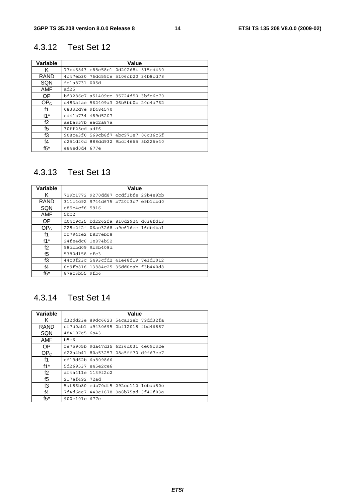## 4.3.12 Test Set 12

| Variable        | Value                               |  |  |  |  |  |
|-----------------|-------------------------------------|--|--|--|--|--|
| ĸ               | 77b45843 c88e58c1 0d202684 515ed430 |  |  |  |  |  |
| RAND            | 4c47eb30 76dc55fe 5106cb20 34b8cd78 |  |  |  |  |  |
| SQN             | fela8731 005d                       |  |  |  |  |  |
| <b>AMF</b>      | ad25                                |  |  |  |  |  |
| OP.             | bf3286c7 a51409ce 95724d50 3bfe6e70 |  |  |  |  |  |
| OP <sub>c</sub> | d483afae 562409a3 26b5bb0b 20c4d762 |  |  |  |  |  |
| f1              | 08332d7e 9f484570                   |  |  |  |  |  |
| $f1^*$          | ed41b734 489d5207                   |  |  |  |  |  |
| f2              | aefa357b eac2a87a                   |  |  |  |  |  |
| f5              | 30ff25cd adf6                       |  |  |  |  |  |
| fЗ              | 908c43f0 569cb8f7 4bc971e7 06c36c5f |  |  |  |  |  |
| f4              | c251df0d 888dd932 9bcf4665 5b226e40 |  |  |  |  |  |
| $f5^*$          | e84ed0d4 677e                       |  |  |  |  |  |

## 4.3.13 Test Set 13

| Variable        | Value                               |  |  |  |  |
|-----------------|-------------------------------------|--|--|--|--|
| K               | 729b1772 9270dd87 ccdf1bfe 29b4e9bb |  |  |  |  |
| <b>RAND</b>     | 311c4c92 9744d675 b720f3b7 e9b1cbd0 |  |  |  |  |
| SQN             | C85c4cf6 5916                       |  |  |  |  |
| <b>AMF</b>      | 5 <sub>bb2</sub>                    |  |  |  |  |
| OP.             | d04c9c35 bd2262fa 810d2924 d036fd13 |  |  |  |  |
| OP <sub>c</sub> | 228c2f2f 06ac3268 a9e616ee 16db4ba1 |  |  |  |  |
| f1              | ff794fe2 f827ebf8                   |  |  |  |  |
| $f1^*$          | 24fe4dc6 1e874b52                   |  |  |  |  |
| f2              | 98dbbd09 9b3b408d                   |  |  |  |  |
| f5              | 5380d158 cfe3                       |  |  |  |  |
| fЗ              | 44c0f23c 5493cfd2 41e48f19 7e1d1012 |  |  |  |  |
| f4              | 0c9fb816 13884c25 35dd0eab f3b440d8 |  |  |  |  |
| $f5^*$          | 87ac3b55 9fb6                       |  |  |  |  |

## 4.3.14 Test Set 14

| Variable        | Value                               |  |  |  |  |
|-----------------|-------------------------------------|--|--|--|--|
| Κ               | d32dd23e 89dc6623 54ca12eb 79dd32fa |  |  |  |  |
| <b>RAND</b>     | cf7d0ab1 d9430695 0bf12018 fbd46887 |  |  |  |  |
| SQN             | 484107e5 6a43                       |  |  |  |  |
| AMF             | b5e6                                |  |  |  |  |
| <b>OP</b>       | fe75905b 9da47d35 6236d031 4e09c32e |  |  |  |  |
| OP <sub>C</sub> | d22a4b41 80a53257 08a5ff70 d9f67ec7 |  |  |  |  |
| f1              | cf19d62b 6a809866                   |  |  |  |  |
| $f1^*$          | 5d269537 e45e2ce6                   |  |  |  |  |
| f2              | af4a411e 1139f2c2                   |  |  |  |  |
| f5              | 217af492 72ad                       |  |  |  |  |
| f3              | 5af86b80 edb70df5 292cc112 1cbad50c |  |  |  |  |
| f4              | 7f4d6ae7 440e1878 9a8b75ad 3f42f03a |  |  |  |  |
| $f5^*$          | 900e101c 677e                       |  |  |  |  |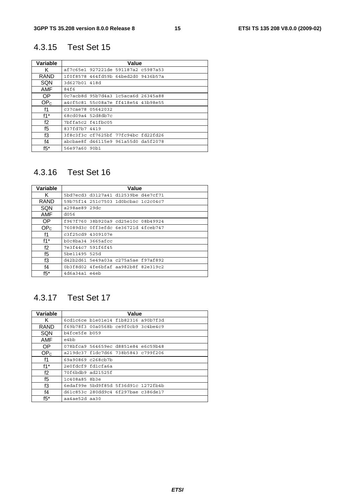## 4.3.15 Test Set 15

| Variable        | Value                               |  |  |  |  |
|-----------------|-------------------------------------|--|--|--|--|
| K               | af7c65e1 927221de 591187a2 c5987a53 |  |  |  |  |
| RAND            | 1f0f8578 464fd59b 64bed2d0 9436b57a |  |  |  |  |
| SQN             | 3d627b01 418d                       |  |  |  |  |
| AMF             | 84f6                                |  |  |  |  |
| OP.             | 0c7acb8d 95b7d4a3 1c5aca6d 26345a88 |  |  |  |  |
| OP <sub>c</sub> | a4cf5c81 55c08a7e ff418e54 43b98e55 |  |  |  |  |
| f1              | c37cae78 05642032                   |  |  |  |  |
| $f1^*$          | 68cd09a4 52d8db7c                   |  |  |  |  |
| f2              | 7bffa5c2 f41fbc05                   |  |  |  |  |
| f5              | 837fd7b7 4419                       |  |  |  |  |
| f3              | 3f8c3f3c cf7625bf 77fc94bc fd22fd26 |  |  |  |  |
| f <sub>4</sub>  | abcbae8f d46115e9 961a55d0 da5f2078 |  |  |  |  |
| $f5^*$          | 56e97a60 90b1                       |  |  |  |  |

## 4.3.16 Test Set 16

| Variable        | Value                               |  |  |  |  |  |
|-----------------|-------------------------------------|--|--|--|--|--|
| K               | 5bd7ecd3 d3127a41 d12539be d4e7cf71 |  |  |  |  |  |
| RAND            | 59b75f14 251c7503 1d0bcbac 1c2c04c7 |  |  |  |  |  |
| SQN             | a298ae89 29dc                       |  |  |  |  |  |
| <b>AMF</b>      | d056                                |  |  |  |  |  |
| 0P              | f967f760 38b920a9 cd25e10c 08b49924 |  |  |  |  |  |
| OP <sub>c</sub> | 76089d3c 0ff3efdc 6e36721d 4fceb747 |  |  |  |  |  |
| f1              | c3f25cd9 4309107e                   |  |  |  |  |  |
| $f1^*$          | b0c8ba34 3665afcc                   |  |  |  |  |  |
| f2              | 7e3f44c7 591f6f45                   |  |  |  |  |  |
| f5              | 5be11495 525d                       |  |  |  |  |  |
| fЗ              | d42b2d61 5e49a03a c275a5ae f97af892 |  |  |  |  |  |
| $f_4$           | 0b3f8d02 4fe6bfaf aa982b8f 82e319c2 |  |  |  |  |  |
| $f5^*$          | 4d6a34a1 e4eb                       |  |  |  |  |  |

## 4.3.17 Test Set 17

| Variable        | Value                               |  |  |  |  |
|-----------------|-------------------------------------|--|--|--|--|
| ĸ               | 6cdlc6ce b1e01e14 f1b82316 a90b7f3d |  |  |  |  |
| <b>RAND</b>     | f69b78f3 00a0568b ce9f0cb9 3c4be4c9 |  |  |  |  |
| SQN             | b4fce5fe b059                       |  |  |  |  |
| AMF             | e4bb                                |  |  |  |  |
| OP.             | 078bfca9 564659ec d8851e84 e6c59b48 |  |  |  |  |
| OP <sub>C</sub> | a219dc37 f1dc7d66 738b5843 c799f206 |  |  |  |  |
| f1              | 69a90869 c268cb7b                   |  |  |  |  |
| $f1^*$          | 2e0fdcf9 fd1cfa6a                   |  |  |  |  |
| f2              | 70f6bdb9 ad21525f                   |  |  |  |  |
| f5              | 1c408a85 8b3e                       |  |  |  |  |
| f3              | 6edaf99e 5bd9f85d 5f36d91c 1272fb4b |  |  |  |  |
| f4              | d61c853c 280dd9c4 6f297bae c386de17 |  |  |  |  |
| $f5*$           | aa4ae52d aa30                       |  |  |  |  |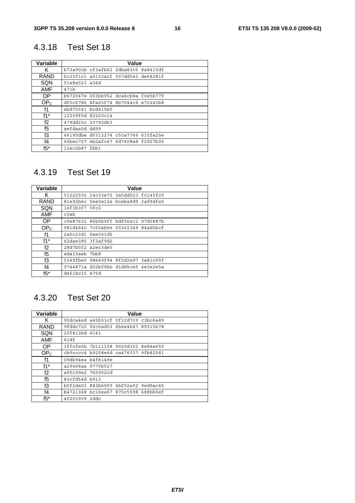## 4.3.18 Test Set 18

| Variable        | Value                               |  |  |  |  |
|-----------------|-------------------------------------|--|--|--|--|
| ĸ               | b73a90cb cf3afb62 2dba83c5 8a8415df |  |  |  |  |
| RAND            | b120f1c1 a0102a2f 507dd543 de68281f |  |  |  |  |
| SQN             | f1e8a523a36d                        |  |  |  |  |
| <b>AMF</b>      | 471b                                |  |  |  |  |
| OP.             | b672047e 003bb952 dca6cb8a f0e5b779 |  |  |  |  |
| OP <sub>c</sub> | df0c6786 8fa25f74 8b7044c6 e7c245b8 |  |  |  |  |
| f1              | ebd70341 bcd415b0                   |  |  |  |  |
| $f1^*$          | 12359f5d 82220c14                   |  |  |  |  |
| f2              | 479dd25c 20792d63                   |  |  |  |  |
| f5              | aefdaa5d dd99                       |  |  |  |  |
| f3              | 66195dbe d0313274 c5ca7766 615fa25e |  |  |  |  |
| $f_4$           | 66bec707 eb2afc47 6d7408a8 f2927b36 |  |  |  |  |
| $f5^*$          | 12ec2b87fbb1                        |  |  |  |  |

## 4.3.19 Test Set 19

| Variable        | Value                               |  |  |  |  |
|-----------------|-------------------------------------|--|--|--|--|
| Κ               | 51222502 14c33e72 3a5dd523 fc145fc0 |  |  |  |  |
| RAND            | 81e92b6c 0ee0e12e bceba8d9 2a99dfa5 |  |  |  |  |
| SQN             | 16f3b3f7 0fc2                       |  |  |  |  |
| <b>AMF</b>      | c3ab                                |  |  |  |  |
| OP.             | c9e87632 86b5b9ff bdf56e12 97d0887b |  |  |  |  |
| OP <sub>C</sub> | 981d464c 7c52eb6e 50362349 84ad0bcf |  |  |  |  |
| f1              | 2a5c23d1 5ee351d5                   |  |  |  |  |
| $f1^*$          | 62dae385 3f3af9d2                   |  |  |  |  |
| f2              | 28d7b0f2 a2ec3de5                   |  |  |  |  |
| f5              | ada15aeb 7bb8                       |  |  |  |  |
| fЗ              | 5349fbe0 98649f94 8f5d2e97 3a81c00f |  |  |  |  |
| f4              | 9744871a d32bf9bb d1dd5ce5 4e3e2e5a |  |  |  |  |
| $f5^*$          | d461bc15 475d                       |  |  |  |  |

## 4.3.20 Test Set 20

| Variable        | Value                               |  |  |  |  |
|-----------------|-------------------------------------|--|--|--|--|
| ĸ               | 90dca4ed a45b53cf 0f12d7c9 c3bc6a89 |  |  |  |  |
| <b>RAND</b>     | 9fddc720 92c6ad03 6b6e4647 89315b78 |  |  |  |  |
| SQN             | 20f813bd 4141                       |  |  |  |  |
| AMF             | 61df                                |  |  |  |  |
| OP.             | 3ffcfe5b 7b111158 9920d352 8e84e655 |  |  |  |  |
| OP <sub>C</sub> | cb9cccc4 b9258e6d ca476037 9fb82581 |  |  |  |  |
| f1              | 09db94ea b4f8149e                   |  |  |  |  |
| $f1^*$          | a29468aa 9775b527                   |  |  |  |  |
| f2              | a95100e2 760952cd                   |  |  |  |  |
| f5              | 83cfd54d b913                       |  |  |  |  |
| f3              | b5f2da03 883b69f9 6bf52e02 9ed9ac45 |  |  |  |  |
| f4              | b4721368 bc16ea67 875c5598 688bb0ef |  |  |  |  |
| $f5*$           | 4f203939 2ddc                       |  |  |  |  |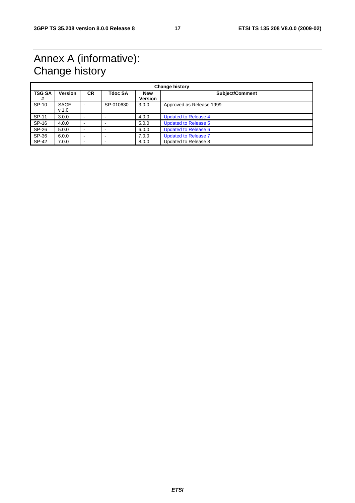## Annex A (informative): Change history

| <b>Change history</b> |                          |                          |           |                       |                             |
|-----------------------|--------------------------|--------------------------|-----------|-----------------------|-----------------------------|
| <b>TSG SA</b><br>#    | <b>Version</b>           | <b>CR</b>                | Tdoc SA   | <b>New</b><br>Version | Subject/Comment             |
| SP-10                 | SAGE<br>v <sub>1.0</sub> | $\overline{\phantom{a}}$ | SP-010630 | 3.0.0                 | Approved as Release 1999    |
| SP-11                 | 3.0.0                    | $\overline{\phantom{a}}$ |           | 4.0.0                 | <b>Updated to Release 4</b> |
| SP-16                 | 4.0.0                    | $\blacksquare$           |           | 5.0.0                 | <b>Updated to Release 5</b> |
| SP-26                 | 5.0.0                    | $\overline{\phantom{a}}$ |           | 6.0.0                 | <b>Updated to Release 6</b> |
| SP-36                 | 6.0.0                    | $\overline{\phantom{a}}$ |           | 7.0.0                 | <b>Updated to Release 7</b> |
| SP-42                 | 7.0.0                    | $\,$                     |           | 8.0.0                 | Updated to Release 8        |